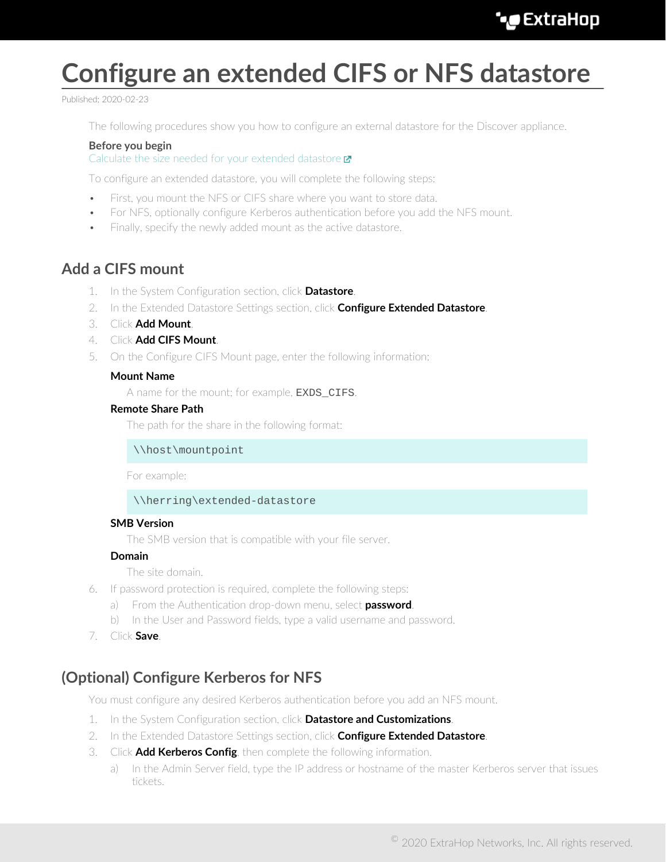# **Configure an extended CIFS or NFS datastore**

Published: 2020-02-23

The following procedures show you how to configure an external datastore for the Discover appliance.

### **Before you begin**

[Calculate the size needed for your extended datastore](https://docs.extrahop.com/7.9/calculate_datastore) E

To configure an extended datastore, you will complete the following steps:

- First, you mount the NFS or CIFS share where you want to store data.
- For NFS, optionally configure Kerberos authentication before you add the NFS mount.
- Finally, specify the newly added mount as the active datastore.

### **Add a CIFS mount**

- 1. In the System Configuration section, click **Datastore**.
- 2. In the Extended Datastore Settings section, click **Configure Extended Datastore**.
- 3. Click **Add Mount**.
- 4. Click **Add CIFS Mount**.
- 5. On the Configure CIFS Mount page, enter the following information:

### **Mount Name**

A name for the mount; for example, **EXDS\_CIFS**.

### **Remote Share Path**

The path for the share in the following format:

\\host\mountpoint

For example:

#### \\herring\extended-datastore

#### **SMB Version**

The SMB version that is compatible with your file server.

#### **Domain**

The site domain.

- 6. If password protection is required, complete the following steps:
	- a) From the Authentication drop-down menu, select **password**.
	- b) In the User and Password fields, type a valid username and password.
- 7. Click **Save**.

### **(Optional) Configure Kerberos for NFS**

You must configure any desired Kerberos authentication before you add an NFS mount.

- 1. In the System Configuration section, click **Datastore and Customizations**.
- 2. In the Extended Datastore Settings section, click **Configure Extended Datastore**.
- 3. Click **Add Kerberos Config**, then complete the following information.
	- a) In the Admin Server field, type the IP address or hostname of the master Kerberos server that issues tickets.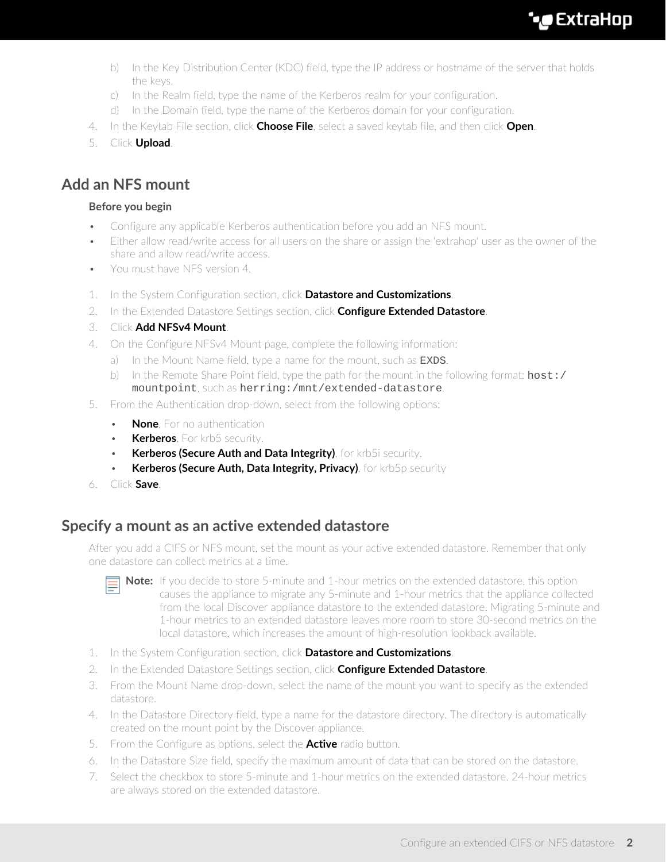## **∙e** ExtraHop

- b) In the Key Distribution Center (KDC) field, type the IP address or hostname of the server that holds the keys.
- c) In the Realm field, type the name of the Kerberos realm for your configuration.
- d) In the Domain field, type the name of the Kerberos domain for your configuration.
- 4. In the Keytab File section, click **Choose File**, select a saved keytab file, and then click **Open**.
- 5. Click **Upload**.

### **Add an NFS mount**

### **Before you begin**

- Configure any applicable Kerberos authentication before you add an NFS mount.
- Either allow read/write access for all users on the share or assign the 'extrahop' user as the owner of the share and allow read/write access.
- You must have NFS version 4.
- 1. In the System Configuration section, click **Datastore and Customizations**.
- 2. In the Extended Datastore Settings section, click **Configure Extended Datastore**.
- 3. Click **Add NFSv4 Mount**.
- 4. On the Configure NFSv4 Mount page, complete the following information:
	- a) In the Mount Name field, type a name for the mount, such as **EXDS**.
	- b) In the Remote Share Point field, type the path for the mount in the following format:  $host: /$ mountpoint, such as herring:/mnt/extended-datastore.
- 5. From the Authentication drop-down, select from the following options:
	- **None**, For no authentication
	- **Kerberos**, For krb5 security.
	- **Kerberos (Secure Auth and Data Integrity)**, for krb5i security.
	- **Kerberos (Secure Auth, Data Integrity, Privacy)**, for krb5p security
- 6. Click **Save**.

### **Specify a mount as an active extended datastore**

After you add a CIFS or NFS mount, set the mount as your active extended datastore. Remember that only one datastore can collect metrics at a time.



**Note:** If you decide to store 5-minute and 1-hour metrics on the extended datastore, this option causes the appliance to migrate any 5-minute and 1-hour metrics that the appliance collected from the local Discover appliance datastore to the extended datastore. Migrating 5-minute and 1-hour metrics to an extended datastore leaves more room to store 30-second metrics on the local datastore, which increases the amount of high-resolution lookback available.

- 1. In the System Configuration section, click **Datastore and Customizations**.
- 2. In the Extended Datastore Settings section, click **Configure Extended Datastore**.
- 3. From the Mount Name drop-down, select the name of the mount you want to specify as the extended datastore.
- 4. In the Datastore Directory field, type a name for the datastore directory. The directory is automatically created on the mount point by the Discover appliance.
- 5. From the Configure as options, select the **Active** radio button.
- 6. In the Datastore Size field, specify the maximum amount of data that can be stored on the datastore.
- 7. Select the checkbox to store 5-minute and 1-hour metrics on the extended datastore. 24-hour metrics are always stored on the extended datastore.